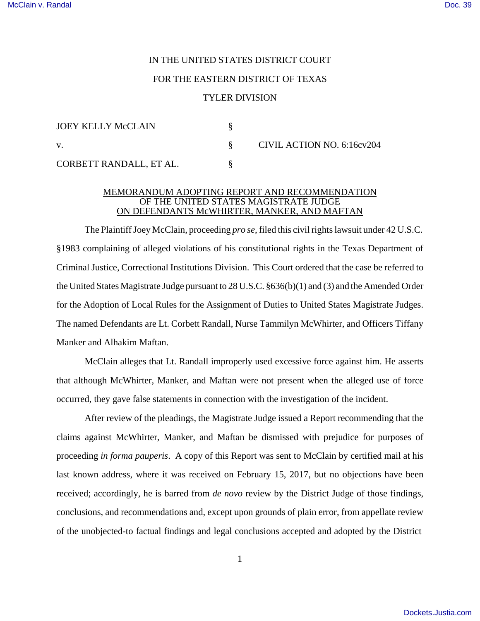## IN THE UNITED STATES DISTRICT COURT FOR THE EASTERN DISTRICT OF TEXAS TYLER DIVISION

| JOEY KELLY McCLAIN      |                            |
|-------------------------|----------------------------|
| V.                      | CIVIL ACTION NO. 6:16cv204 |
| CORBETT RANDALL, ET AL. |                            |

## MEMORANDUM ADOPTING REPORT AND RECOMMENDATION OF THE UNITED STATES MAGISTRATE JUDGE ON DEFENDANTS McWHIRTER, MANKER, AND MAFTAN

The Plaintiff Joey McClain, proceeding *pro se*, filed this civil rights lawsuit under 42 U.S.C. §1983 complaining of alleged violations of his constitutional rights in the Texas Department of Criminal Justice, Correctional Institutions Division. This Court ordered that the case be referred to the United States Magistrate Judge pursuant to 28 U.S.C. §636(b)(1) and (3) and the Amended Order for the Adoption of Local Rules for the Assignment of Duties to United States Magistrate Judges. The named Defendants are Lt. Corbett Randall, Nurse Tammilyn McWhirter, and Officers Tiffany Manker and Alhakim Maftan.

McClain alleges that Lt. Randall improperly used excessive force against him. He asserts that although McWhirter, Manker, and Maftan were not present when the alleged use of force occurred, they gave false statements in connection with the investigation of the incident.

After review of the pleadings, the Magistrate Judge issued a Report recommending that the claims against McWhirter, Manker, and Maftan be dismissed with prejudice for purposes of proceeding *in forma pauperis*. A copy of this Report was sent to McClain by certified mail at his last known address, where it was received on February 15, 2017, but no objections have been received; accordingly, he is barred from *de novo* review by the District Judge of those findings, conclusions, and recommendations and, except upon grounds of plain error, from appellate review of the unobjected-to factual findings and legal conclusions accepted and adopted by the District